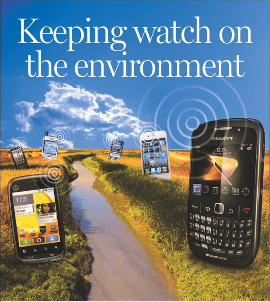## Keeping watch on<br>the environment

**BlackBerry** 

**S**inebo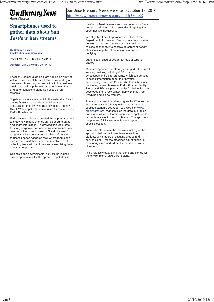## San Jose Mercury News website - October 18, 2010 **The Mercury News** http://www.mercurynews.com/ci\_16350288 MercurvNews.com the Gulf of Mexico, measure noise pollution in Paris **Smartphones used to** and report sightings of cassowaries, large flightless **gather data about San** birds that live in Australia. In a slightly different approach, scientists at the **Jose's urban streams** Department of Homeland Security say they hope to develop an inexpensive sensor that could turn millions of phones into passive detectors of deadly **By Brandon Bailey** chemicals, capable of sounding an alarm and

**bbailey@mercurynews.com**

Posted: 10/18/2010 12:01:00 AM PDT

Updated: 10/18/2010 01:47:29 PM PDT

Local environmental officials are hoping an army of volunteer creek watchers will start downloading a new smartphone program sometime in the next few weeks that will help them track water levels, trash and other conditions along San Jose's urban streams.

"It gets a lot more eyes out into the watershed," said James Downing, an environmental services specialist for the city, who recently tested the new Creek Watch application developed by researchers at IBM's Almaden Lab.

IBM computer scientists created the app as a project to study how mobile phones can be used to gather and share information -- a growing field of interest for many corporate and academic researchers. In a reverse of the current craze for "location-based" programs, which deliver personalized information to users' phones based on their whereabouts, the idea is that smartphones can be valuable tools for collecting isolated bits of data and assembling them into a larger picture.

Scientists and environmental activists have used similar apps to monitor the spread of spilled oil in notifying

authorities in case of accidental leak or terrorist attack.

Most smartphones are already equipped with several sensing devices, including GPS locators, gyroscopes and digital cameras, which can be used to collect information about their physical surroundings, said Jeff Pierce, who leads the mobile computing research team at IBM's Almaden facility. Pierce and IBM computer scientist Christine Robson developed the "Creek Watch" app with input from Downing and his co-workers.

The app is a downloadable program for iPhones that lets users answer a few questions, snap a photo and submit a standardized report to a website (www. creekwatch.org) that compiles the data into tables and maps, which authorities can use to spot trends or problem areas in need of cleanup. The app uses the phone's GPS system to tie each report to a specific location.

Local officials believe the relative simplicity of the app could help attract volunteers -- such as students or members of scouting groups and service clubs -- for the otherwise daunting task of monitoring miles and miles of streams and water channels.

"It's a relatively easy thing that someone can do for the environment," said Carol Boland,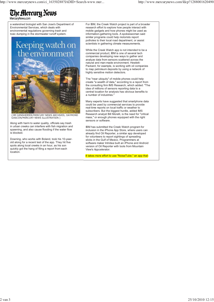## The Mercury News

a watershed biologist with San Jose's Department of Environmental Services, which deals with environmental regulations governing trash and toxic dumping in the stormwater runoff system.



(JIM GENSHEIMER/MERCURY NEWS ARCHIVES; DAYMOND GASCON/MERCURY NEWS ILLUSTRATION )

Along with harm to water quality, officials say trash in urban creeks can interfere with fish migration and spawning, and also cause flooding if the water flow is blocked.

Downing, who works with Boland, took his 10-yearold along for a recent test of the app. They hit five spots along local creeks in an hour, as his son quickly got the hang of filing a report from each location.

For IBM, the Creek Watch project is part of a broader research effort to explore how people interact with mobile gadgets and how phones might be used as information-gathering tools. A spokeswoman said similar programs could help motorists report potholes to their local road department, or assist scientists in gathering climate measurements.

While the Creek Watch app is not intended to be a commercial product, IBM is one of several tech companies developing new ways to gather and analyze data from sensors scattered across the natural and man-made environment. Hewlett-Packard, for example, is working with oil companies to map petroleum deposits by using a network of highly sensitive motion detectors.

The "near ubiquity" of mobile phones could help create "a wealth of data," according to a report from the consulting firm IMS Research, which added: "The idea of millions of sensors reporting data to a central location for analysis has obvious benefits to a number of industries."

Many experts have suggested that smartphone data could be used by commercial services to provide real-time reports on local traffic or weather to subscribers. But the biggest hurdle, added IMS Research analyst Bill Morelli, is the need for "critical mass," or enough phones equipped with the right sensors or software.

IBM has submitted the Creek Watch program for inclusion in the iPhone App Store, where users can already find Oil Reporter, a similar app developed for volunteers to report sightings of spreading slicks in the Gulf of Mexico. Programmers at software maker Intridea built an iPhone and Android version of Oil Reporter with tools from Mountain View's Appcelerator.

It takes more effort to use "NoiseTube," an app that